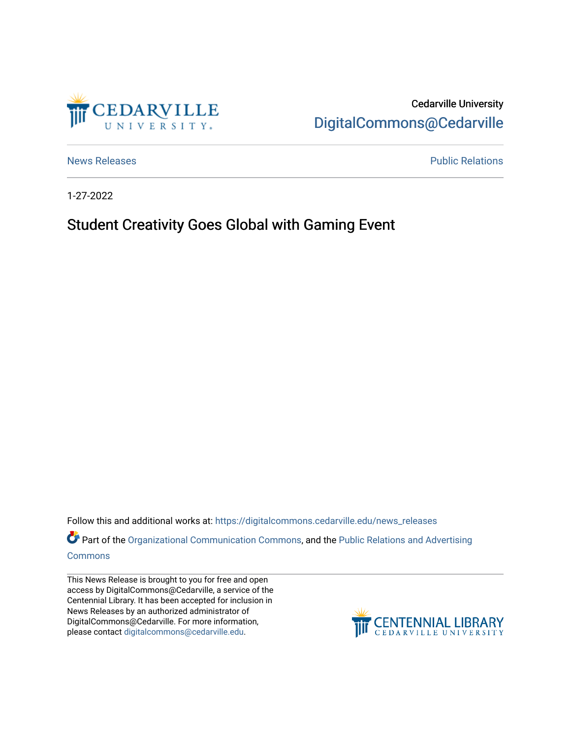

Cedarville University [DigitalCommons@Cedarville](https://digitalcommons.cedarville.edu/) 

[News Releases](https://digitalcommons.cedarville.edu/news_releases) **Public Relations Public Relations** 

1-27-2022

## Student Creativity Goes Global with Gaming Event

Follow this and additional works at: [https://digitalcommons.cedarville.edu/news\\_releases](https://digitalcommons.cedarville.edu/news_releases?utm_source=digitalcommons.cedarville.edu%2Fnews_releases%2F1485&utm_medium=PDF&utm_campaign=PDFCoverPages) 

Part of the [Organizational Communication Commons](http://network.bepress.com/hgg/discipline/335?utm_source=digitalcommons.cedarville.edu%2Fnews_releases%2F1485&utm_medium=PDF&utm_campaign=PDFCoverPages), and the Public Relations and Advertising [Commons](http://network.bepress.com/hgg/discipline/336?utm_source=digitalcommons.cedarville.edu%2Fnews_releases%2F1485&utm_medium=PDF&utm_campaign=PDFCoverPages)

This News Release is brought to you for free and open access by DigitalCommons@Cedarville, a service of the Centennial Library. It has been accepted for inclusion in News Releases by an authorized administrator of DigitalCommons@Cedarville. For more information, please contact [digitalcommons@cedarville.edu](mailto:digitalcommons@cedarville.edu).